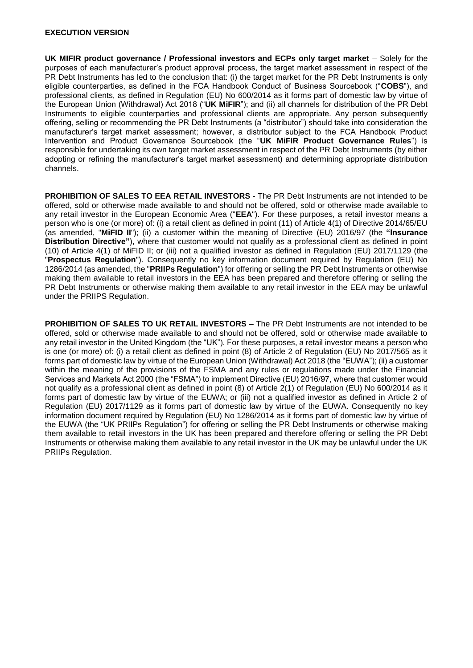#### **EXECUTION VERSION**

**UK MIFIR product governance / Professional investors and ECPs only target market – Solely for the** purposes of each manufacturer's product approval process, the target market assessment in respect of the PR Debt Instruments has led to the conclusion that: (i) the target market for the PR Debt Instruments is only eligible counterparties, as defined in the FCA Handbook Conduct of Business Sourcebook ("**COBS**"), and professional clients, as defined in Regulation (EU) No 600/2014 as it forms part of domestic law by virtue of the European Union (Withdrawal) Act 2018 ("**UK MiFIR**"); and (ii) all channels for distribution of the PR Debt Instruments to eligible counterparties and professional clients are appropriate. Any person subsequently offering, selling or recommending the PR Debt Instruments (a "distributor") should take into consideration the manufacturer's target market assessment; however, a distributor subject to the FCA Handbook Product Intervention and Product Governance Sourcebook (the "**UK MiFIR Product Governance Rules**") is responsible for undertaking its own target market assessment in respect of the PR Debt Instruments (by either adopting or refining the manufacturer's target market assessment) and determining appropriate distribution channels.

**PROHIBITION OF SALES TO EEA RETAIL INVESTORS** - The PR Debt Instruments are not intended to be offered, sold or otherwise made available to and should not be offered, sold or otherwise made available to any retail investor in the European Economic Area ("**EEA**"). For these purposes, a retail investor means a person who is one (or more) of: (i) a retail client as defined in point (11) of Article 4(1) of Directive 2014/65/EU (as amended, "**MiFID II**"); (ii) a customer within the meaning of Directive (EU) 2016/97 (the **"Insurance Distribution Directive"**), where that customer would not qualify as a professional client as defined in point (10) of Article 4(1) of MiFID II; or (iii) not a qualified investor as defined in Regulation (EU) 2017/1129 (the "**Prospectus Regulation**"). Consequently no key information document required by Regulation (EU) No 1286/2014 (as amended, the "**PRIIPs Regulation**") for offering or selling the PR Debt Instruments or otherwise making them available to retail investors in the EEA has been prepared and therefore offering or selling the PR Debt Instruments or otherwise making them available to any retail investor in the EEA may be unlawful under the PRIIPS Regulation.

**PROHIBITION OF SALES TO UK RETAIL INVESTORS** – The PR Debt Instruments are not intended to be offered, sold or otherwise made available to and should not be offered, sold or otherwise made available to any retail investor in the United Kingdom (the "UK"). For these purposes, a retail investor means a person who is one (or more) of: (i) a retail client as defined in point (8) of Article 2 of Regulation (EU) No 2017/565 as it forms part of domestic law by virtue of the European Union (Withdrawal) Act 2018 (the "EUWA"); (ii) a customer within the meaning of the provisions of the FSMA and any rules or regulations made under the Financial Services and Markets Act 2000 (the "FSMA") to implement Directive (EU) 2016/97, where that customer would not qualify as a professional client as defined in point (8) of Article 2(1) of Regulation (EU) No 600/2014 as it forms part of domestic law by virtue of the EUWA; or (iii) not a qualified investor as defined in Article 2 of Regulation (EU) 2017/1129 as it forms part of domestic law by virtue of the EUWA. Consequently no key information document required by Regulation (EU) No 1286/2014 as it forms part of domestic law by virtue of the EUWA (the "UK PRIIPs Regulation") for offering or selling the PR Debt Instruments or otherwise making them available to retail investors in the UK has been prepared and therefore offering or selling the PR Debt Instruments or otherwise making them available to any retail investor in the UK may be unlawful under the UK PRIIPs Regulation.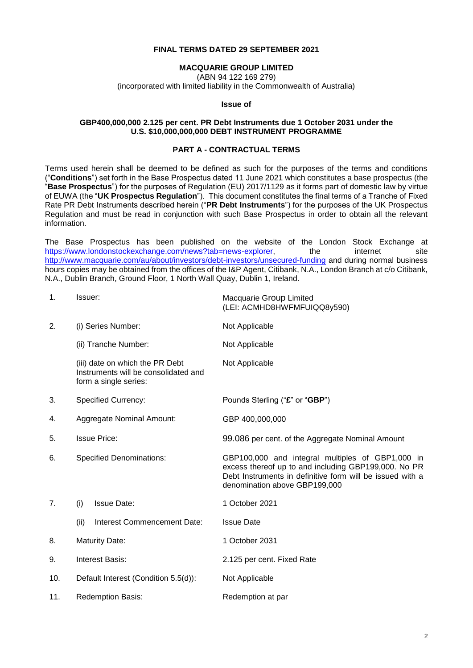### **FINAL TERMS DATED 29 SEPTEMBER 2021**

#### **MACQUARIE GROUP LIMITED**

(ABN 94 122 169 279)

(incorporated with limited liability in the Commonwealth of Australia)

#### **Issue of**

#### **GBP400,000,000 2.125 per cent. PR Debt Instruments due 1 October 2031 under the U.S. \$10,000,000,000 DEBT INSTRUMENT PROGRAMME**

### **PART A - CONTRACTUAL TERMS**

Terms used herein shall be deemed to be defined as such for the purposes of the terms and conditions ("**Conditions**") set forth in the Base Prospectus dated 11 June 2021 which constitutes a base prospectus (the "**Base Prospectus**") for the purposes of Regulation (EU) 2017/1129 as it forms part of domestic law by virtue of EUWA (the "**UK Prospectus Regulation**"). This document constitutes the final terms of a Tranche of Fixed Rate PR Debt Instruments described herein ("**PR Debt Instruments**") for the purposes of the UK Prospectus Regulation and must be read in conjunction with such Base Prospectus in order to obtain all the relevant information.

The Base Prospectus has been published on the website of the London Stock Exchange at [https://www.londonstockexchange.com/news?tab=news-explorer,](https://www.londonstockexchange.com/news?tab=news-explorer) the internet site <http://www.macquarie.com/au/about/investors/debt-investors/unsecured-funding> and during normal business hours copies may be obtained from the offices of the I&P Agent, Citibank, N.A., London Branch at c/o Citibank, N.A., Dublin Branch, Ground Floor, 1 North Wall Quay, Dublin 1, Ireland.

| 1.  | Issuer:                                                                                          | Macquarie Group Limited<br>(LEI: ACMHD8HWFMFUIQQ8y590)                                                                                                                                                 |
|-----|--------------------------------------------------------------------------------------------------|--------------------------------------------------------------------------------------------------------------------------------------------------------------------------------------------------------|
| 2.  | (i) Series Number:                                                                               | Not Applicable                                                                                                                                                                                         |
|     | (ii) Tranche Number:                                                                             | Not Applicable                                                                                                                                                                                         |
|     | (iii) date on which the PR Debt<br>Instruments will be consolidated and<br>form a single series: | Not Applicable                                                                                                                                                                                         |
| 3.  | <b>Specified Currency:</b>                                                                       | Pounds Sterling ("£" or "GBP")                                                                                                                                                                         |
| 4.  | <b>Aggregate Nominal Amount:</b>                                                                 | GBP 400,000,000                                                                                                                                                                                        |
| 5.  | <b>Issue Price:</b>                                                                              | 99.086 per cent. of the Aggregate Nominal Amount                                                                                                                                                       |
| 6.  | <b>Specified Denominations:</b>                                                                  | GBP100,000 and integral multiples of GBP1,000 in<br>excess thereof up to and including GBP199,000. No PR<br>Debt Instruments in definitive form will be issued with a<br>denomination above GBP199,000 |
| 7.  | (i)<br><b>Issue Date:</b>                                                                        | 1 October 2021                                                                                                                                                                                         |
|     | (ii)<br>Interest Commencement Date:                                                              | <b>Issue Date</b>                                                                                                                                                                                      |
| 8.  | <b>Maturity Date:</b>                                                                            | 1 October 2031                                                                                                                                                                                         |
| 9.  | Interest Basis:                                                                                  | 2.125 per cent. Fixed Rate                                                                                                                                                                             |
| 10. | Default Interest (Condition 5.5(d)):                                                             | Not Applicable                                                                                                                                                                                         |
| 11. | <b>Redemption Basis:</b>                                                                         | Redemption at par                                                                                                                                                                                      |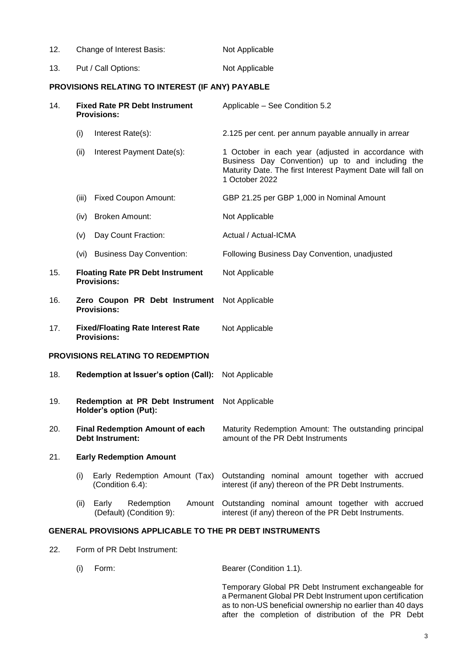| 12. | Change of Interest Basis: | Not Applicable |
|-----|---------------------------|----------------|
| 13. | Put / Call Options:       | Not Applicable |

## **PROVISIONS RELATING TO INTEREST (IF ANY) PAYABLE**

| 14. |       | <b>Fixed Rate PR Debt Instrument</b><br><b>Provisions:</b>        | Applicable - See Condition 5.2                                                                                                                                                           |
|-----|-------|-------------------------------------------------------------------|------------------------------------------------------------------------------------------------------------------------------------------------------------------------------------------|
|     | (i)   | Interest Rate(s):                                                 | 2.125 per cent. per annum payable annually in arrear                                                                                                                                     |
|     | (ii)  | Interest Payment Date(s):                                         | 1 October in each year (adjusted in accordance with<br>Business Day Convention) up to and including the<br>Maturity Date. The first Interest Payment Date will fall on<br>1 October 2022 |
|     | (iii) | <b>Fixed Coupon Amount:</b>                                       | GBP 21.25 per GBP 1,000 in Nominal Amount                                                                                                                                                |
|     | (iv)  | <b>Broken Amount:</b>                                             | Not Applicable                                                                                                                                                                           |
|     | (v)   | Day Count Fraction:                                               | Actual / Actual-ICMA                                                                                                                                                                     |
|     | (vi)  | <b>Business Day Convention:</b>                                   | Following Business Day Convention, unadjusted                                                                                                                                            |
| 15. |       | <b>Floating Rate PR Debt Instrument</b><br><b>Provisions:</b>     | Not Applicable                                                                                                                                                                           |
| 16. |       | Zero Coupon PR Debt Instrument<br><b>Provisions:</b>              | Not Applicable                                                                                                                                                                           |
| 17. |       | <b>Fixed/Floating Rate Interest Rate</b><br><b>Provisions:</b>    | Not Applicable                                                                                                                                                                           |
|     |       | PROVISIONS RELATING TO REDEMPTION                                 |                                                                                                                                                                                          |
| 18. |       | Redemption at Issuer's option (Call):                             | Not Applicable                                                                                                                                                                           |
| 19. |       | Redemption at PR Debt Instrument<br>Holder's option (Put):        | Not Applicable                                                                                                                                                                           |
| 20. |       | <b>Final Redemption Amount of each</b><br><b>Debt Instrument:</b> | Maturity Redemption Amount: The outstanding principal<br>amount of the PR Debt Instruments                                                                                               |
| 21. |       | <b>Early Redemption Amount</b>                                    |                                                                                                                                                                                          |
|     | (i)   | Early Redemption Amount (Tax)<br>(Condition 6.4):                 | Outstanding nominal amount together with accrued<br>interest (if any) thereon of the PR Debt Instruments.                                                                                |
|     | (ii)  | Early<br>Redemption<br>(Default) (Condition 9):                   | Amount Outstanding nominal amount together with accrued<br>interest (if any) thereon of the PR Debt Instruments.                                                                         |
|     |       | GENERAL PROVISIONS APPLICABLE TO THE PR DEBT INSTRUMENTS          |                                                                                                                                                                                          |

22. Form of PR Debt Instrument:

| (i) Form: | Bearer (Condition 1.1). |
|-----------|-------------------------|
|           |                         |

Temporary Global PR Debt Instrument exchangeable for a Permanent Global PR Debt Instrument upon certification as to non-US beneficial ownership no earlier than 40 days after the completion of distribution of the PR Debt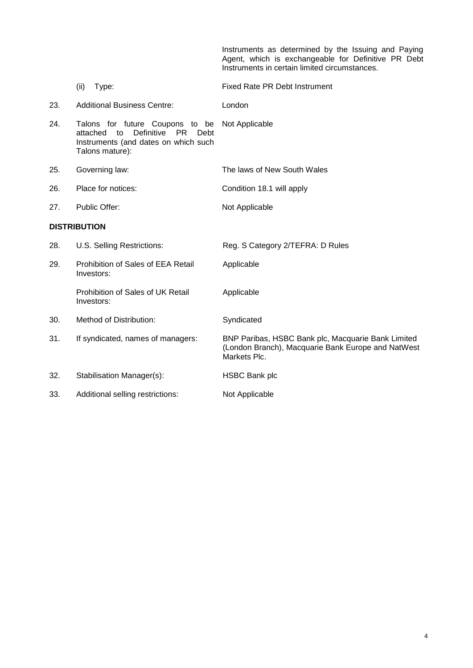Instruments as determined by the Issuing and Paying Agent, which is exchangeable for Definitive PR Debt Instruments in certain limited circumstances.

- (ii) Type: Fixed Rate PR Debt Instrument
- 23. Additional Business Centre: London
- 24. Talons for future Coupons to be attached to Definitive PR Debt Instruments (and dates on which such Talons mature): Not Applicable
- 25. Governing law: The laws of New South Wales
- 26. Place for notices: Condition 18.1 will apply
- 27. Public Offer: Not Applicable

### **DISTRIBUTION**

| 28. | U.S. Selling Restrictions:                       | Reg. S Category 2/TEFRA: D Rules                                                                                         |
|-----|--------------------------------------------------|--------------------------------------------------------------------------------------------------------------------------|
| 29. | Prohibition of Sales of EEA Retail<br>Investors: | Applicable                                                                                                               |
|     | Prohibition of Sales of UK Retail<br>Investors:  | Applicable                                                                                                               |
| 30. | Method of Distribution:                          | Syndicated                                                                                                               |
| 31. | If syndicated, names of managers:                | BNP Paribas, HSBC Bank plc, Macquarie Bank Limited<br>(London Branch), Macquarie Bank Europe and NatWest<br>Markets Plc. |
| 32. | Stabilisation Manager(s):                        | HSBC Bank plc                                                                                                            |
| 33. | Additional selling restrictions:                 | Not Applicable                                                                                                           |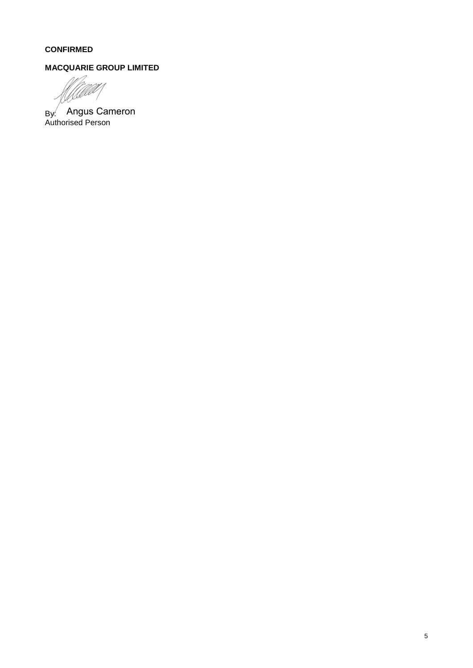# **CONFIRMED**

# **MACQUARIE GROUP LIMITED**

lz. UAN

By: Authorised Person Angus Cameron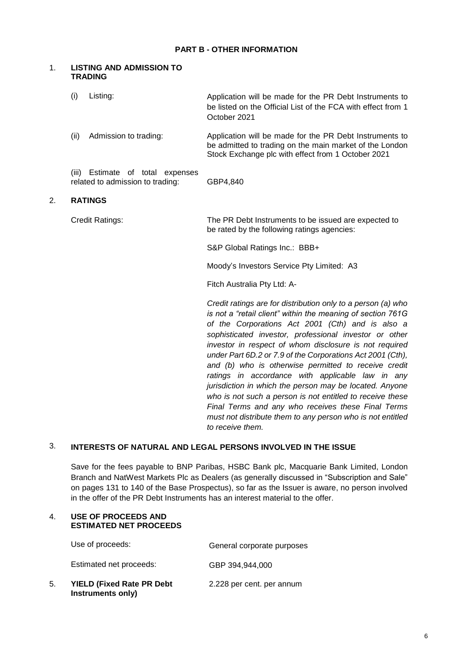### **PART B - OTHER INFORMATION**

### 1. **LISTING AND ADMISSION TO TRADING**

| (i)  | Listing:                                                                                                       | Application will be made for the PR Debt Instruments to<br>be listed on the Official List of the FCA with effect from 1<br>October 2021                                  |
|------|----------------------------------------------------------------------------------------------------------------|--------------------------------------------------------------------------------------------------------------------------------------------------------------------------|
| (ii) | Admission to trading:                                                                                          | Application will be made for the PR Debt Instruments to<br>be admitted to trading on the main market of the London<br>Stock Exchange plc with effect from 1 October 2021 |
|      | $\lim_{n \to \infty}$ $\Gamma$ $\alpha$ $\lim_{n \to \infty}$ $\alpha$ $\alpha$ $\alpha$ $\lim_{n \to \infty}$ |                                                                                                                                                                          |

(iii) Estimate of total expenses related to admission to trading: GBP4,840

### 2. **RATINGS**

Credit Ratings: The PR Debt Instruments to be issued are expected to be rated by the following ratings agencies:

S&P Global Ratings Inc.: BBB+

Moody's Investors Service Pty Limited: A3

Fitch Australia Pty Ltd: A-

*Credit ratings are for distribution only to a person (a) who is not a "retail client" within the meaning of section 761G of the Corporations Act 2001 (Cth) and is also a sophisticated investor, professional investor or other investor in respect of whom disclosure is not required under Part 6D.2 or 7.9 of the Corporations Act 2001 (Cth), and (b) who is otherwise permitted to receive credit ratings in accordance with applicable law in any jurisdiction in which the person may be located. Anyone who is not such a person is not entitled to receive these Final Terms and any who receives these Final Terms must not distribute them to any person who is not entitled to receive them.*

## 3. **INTERESTS OF NATURAL AND LEGAL PERSONS INVOLVED IN THE ISSUE**

Save for the fees payable to BNP Paribas, HSBC Bank plc, Macquarie Bank Limited, London Branch and NatWest Markets Plc as Dealers (as generally discussed in "Subscription and Sale" on pages 131 to 140 of the Base Prospectus), so far as the Issuer is aware, no person involved in the offer of the PR Debt Instruments has an interest material to the offer.

#### 4. **USE OF PROCEEDS AND ESTIMATED NET PROCEEDS**

|    | Use of proceeds:                                       | General corporate purposes |
|----|--------------------------------------------------------|----------------------------|
|    | Estimated net proceeds:                                | GBP 394,944,000            |
| 5. | <b>YIELD (Fixed Rate PR Debt)</b><br>Instruments only) | 2.228 per cent. per annum  |